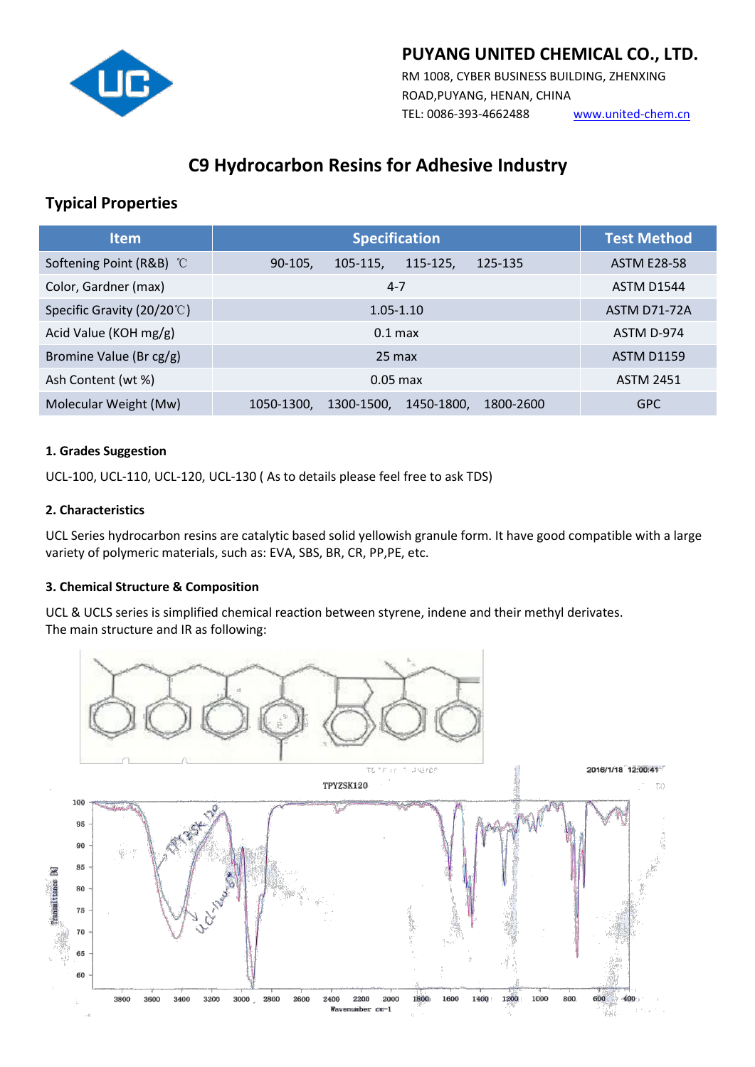

## **PUYANG UNITED CHEMICAL CO., LTD.**

RM 1008, CYBER BUSINESS BUILDING, ZHENXING ROAD,PUYANG, HENAN, CHINA TEL: 0086-393-4662488 [www.united-chem.cn](http://www.united-chem.cn)

# **C9 Hydrocarbon Resins for Adhesive Industry**

## **Typical Properties**

| Item                       | <b>Specification</b>                                | <b>Test Method</b>  |
|----------------------------|-----------------------------------------------------|---------------------|
| Softening Point (R&B) °C   | 115-125,<br>$90-105,$<br>105-115,<br>125-135        | <b>ASTM E28-58</b>  |
| Color, Gardner (max)       | $4 - 7$                                             | ASTM D1544          |
| Specific Gravity (20/20°C) | $1.05 - 1.10$                                       | <b>ASTM D71-72A</b> |
| Acid Value (KOH mg/g)      | $0.1$ max                                           | ASTM D-974          |
| Bromine Value (Br cg/g)    | $25 \text{ max}$                                    | <b>ASTM D1159</b>   |
| Ash Content (wt %)         | $0.05$ max                                          | <b>ASTM 2451</b>    |
| Molecular Weight (Mw)      | 1050-1300.<br>1300-1500,<br>1450-1800,<br>1800-2600 | <b>GPC</b>          |

### **1. Grades Suggestion**

UCL-100, UCL-110, UCL-120, UCL-130 ( As to details please feel free to ask TDS)

### **2. Characteristics**

UCL Series hydrocarbon resins are catalytic based solid yellowish granule form. It have good compatible with a large variety of polymeric materials, such as: EVA, SBS, BR, CR, PP,PE, etc.

### **3. Chemical Structure & Composition**

UCL & UCLS series is simplified chemical reaction between styrene, indene and their methyl derivates. The main structure and IR as following: